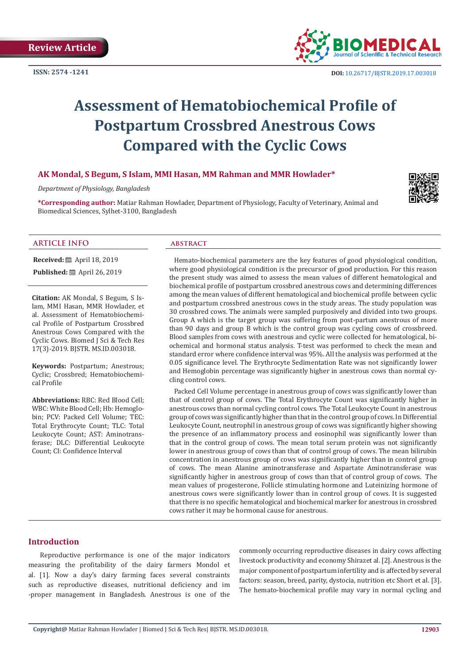**ISSN: 2574 -1241**



# **Assessment of Hematobiochemical Profile of Postpartum Crossbred Anestrous Cows Compared with the Cyclic Cows**

# **AK Mondal, S Begum, S Islam, MMI Hasan, MM Rahman and MMR Howlader\***

*Department of Physiology, Bangladesh*

**\*Corresponding author:** Matiar Rahman Howlader, Department of Physiology, Faculty of Veterinary, Animal and Biomedical Sciences, Sylhet-3100, Bangladesh



# **ARTICLE INFO abstract**

**Received:** ■ April 18, 2019 **Published:** ■ April 26, 2019

**Citation:** AK Mondal, S Begum, S Islam, MMI Hasan, MMR Howlader, et al. Assessment of Hematobiochemical Profile of Postpartum Crossbred Anestrous Cows Compared with the Cyclic Cows. Biomed J Sci & Tech Res 17(3)-2019. BJSTR. MS.ID.003018.

**Keywords:** Postpartum; Anestrous; Cyclic; Crossbred; Hematobiochemical Profile

**Abbreviations:** RBC: Red Blood Cell; WBC: White Blood Cell; Hb: Hemoglobin; PCV: Packed Cell Volume; TEC: Total Erythrocyte Count; TLC: Total Leukocyte Count; AST: Aminotransferase; DLC: Differential Leukocyte Count; CI: Confidence Interval

Hemato-biochemical parameters are the key features of good physiological condition, where good physiological condition is the precursor of good production. For this reason the present study was aimed to assess the mean values of different hematological and biochemical profile of postpartum crossbred anestrous cows and determining differences among the mean values of different hematological and biochemical profile between cyclic and postpartum crossbred anestrous cows in the study areas. The study population was 30 crossbred cows. The animals were sampled purposively and divided into two groups. Group A which is the target group was suffering from post-partum anestrous of more than 90 days and group B which is the control group was cycling cows of crossbreed. Blood samples from cows with anestrous and cyclic were collected for hematological, biochemical and hormonal status analysis. T-test was performed to check the mean and standard error where confidence interval was 95%. All the analysis was performed at the 0.05 significance level. The Erythrocyte Sedimentation Rate was not significantly lower and Hemoglobin percentage was significantly higher in anestrous cows than normal cycling control cows.

Packed Cell Volume percentage in anestrous group of cows was significantly lower than that of control group of cows. The Total Erythrocyte Count was significantly higher in anestrous cows than normal cycling control cows. The Total Leukocyte Count in anestrous group of cows was significantly higher than that in the control group of cows. In Differential Leukocyte Count, neutrophil in anestrous group of cows was significantly higher showing the presence of an inflammatory process and eosinophil was significantly lower than that in the control group of cows. The mean total serum protein was not significantly lower in anestrous group of cows than that of control group of cows. The mean bilirubin concentration in anestrous group of cows was significantly higher than in control group of cows. The mean Alanine aminotransferase and Aspartate Aminotransferase was significantly higher in anestrous group of cows than that of control group of cows. The mean values of progesterone, Follicle stimulating hormone and Luteinizing hormone of anestrous cows were significantly lower than in control group of cows. It is suggested that there is no specific hematological and biochemical marker for anestrous in crossbred cows rather it may be hormonal cause for anestrous.

# **Introduction**

Reproductive performance is one of the major indicators measuring the profitability of the dairy farmers Mondol et al. [1]. Now a day's dairy farming faces several constraints such as reproductive diseases, nutritional deficiency and im -proper management in Bangladesh. Anestrous is one of the commonly occurring reproductive diseases in dairy cows affecting livestock productivity and economy Shirazet al. [2]. Anestrous is the major component of postpartum infertility and is affected by several factors: season, breed, parity, dystocia, nutrition etc Short et al. [3]. The hemato-biochemical profile may vary in normal cycling and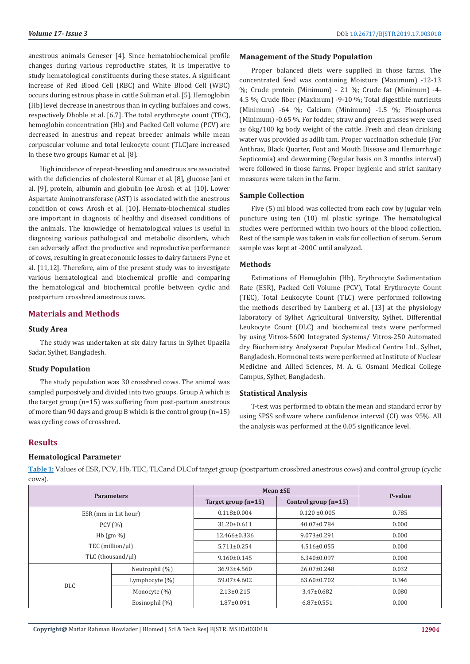anestrous animals Geneser [4]. Since hematobiochemical profile changes during various reproductive states, it is imperative to study hematological constituents during these states. A significant increase of Red Blood Cell (RBC) and White Blood Cell (WBC) occurs during estrous phase in cattle Soliman et al. [5]. Hemoglobin (Hb) level decrease in anestrous than in cycling buffaloes and cows, respectively Dhoble et al. [6,7]. The total erythrocyte count (TEC), hemoglobin concentration (Hb) and Packed Cell volume (PCV) are decreased in anestrus and repeat breeder animals while mean corpuscular volume and total leukocyte count (TLC)are increased in these two groups Kumar et al. [8].

High incidence of repeat-breeding and anestrous are associated with the deficiencies of cholesterol Kumar et al. [8], glucose Jani et al. [9], protein, albumin and globulin Joe Arosh et al. [10]. Lower Aspartate Aminotransferase (AST) is associated with the anestrous condition of cows Arosh et al. [10]. Hemato-biochemical studies are important in diagnosis of healthy and diseased conditions of the animals. The knowledge of hematological values is useful in diagnosing various pathological and metabolic disorders, which can adversely affect the productive and reproductive performance of cows, resulting in great economic losses to dairy farmers Pyne et al. [11,12]. Therefore, aim of the present study was to investigate various hematological and biochemical profile and comparing the hematological and biochemical profile between cyclic and postpartum crossbred anestrous cows.

# **Materials and Methods**

# **Study Area**

The study was undertaken at six dairy farms in Sylhet Upazila Sadar, Sylhet, Bangladesh.

### **Study Population**

The study population was 30 crossbred cows. The animal was sampled purposively and divided into two groups. Group A which is the target group (n=15) was suffering from post-partum anestrous of more than 90 days and group B which is the control group (n=15) was cycling cows of crossbred.

# **Management of the Study Population**

Proper balanced diets were supplied in those farms. The concentrated feed was containing Moisture (Maximum) -12-13 %; Crude protein (Minimum) - 21 %; Crude fat (Minimum) -4- 4.5 %; Crude fiber (Maximum) -9-10 %; Total digestible nutrients (Minimum) -64 %; Calcium (Minimum) -1.5 %; Phosphorus (Minimum) -0.65 %. For fodder, straw and green grasses were used as 6kg/100 kg body weight of the cattle. Fresh and clean drinking water was provided as adlib tam. Proper vaccination schedule (For Anthrax, Black Quarter, Foot and Mouth Disease and Hemorrhagic Septicemia) and deworming (Regular basis on 3 months interval) were followed in those farms. Proper hygienic and strict sanitary measures were taken in the farm.

# **Sample Collection**

Five (5) ml blood was collected from each cow by jugular vein puncture using ten (10) ml plastic syringe. The hematological studies were performed within two hours of the blood collection. Rest of the sample was taken in vials for collection of serum. Serum sample was kept at -200C until analyzed.

# **Methods**

Estimations of Hemoglobin (Hb), Erythrocyte Sedimentation Rate (ESR), Packed Cell Volume (PCV), Total Erythrocyte Count (TEC), Total Leukocyte Count (TLC) were performed following the methods described by Lamberg et al. [13] at the physiology laboratory of Sylhet Agricultural University, Sylhet. Differential Leukocyte Count (DLC) and biochemical tests were performed by using Vitros-5600 Integrated Systems/ Vitros-250 Automated dry Biochemistry Analyzerat Popular Medical Centre Ltd., Sylhet, Bangladesh. Hormonal tests were performed at Institute of Nuclear Medicine and Allied Sciences, M. A. G. Osmani Medical College Campus, Sylhet, Bangladesh.

# **Statistical Analysis**

T-test was performed to obtain the mean and standard error by using SPSS software where confidence interval (CI) was 95%. All the analysis was performed at the 0.05 significance level.

# **Results**

### **Hematological Parameter**

**Table 1:** Values of ESR, PCV, Hb, TEC, TLCand DLCof target group (postpartum crossbred anestrous cows) and control group (cyclic cows).

| <b>Parameters</b>       |                | Mean ±SE              |                      |         |
|-------------------------|----------------|-----------------------|----------------------|---------|
|                         |                | Target group $(n=15)$ | Control group (n=15) | P-value |
| ESR (mm in 1st hour)    |                | $0.118 \pm 0.004$     | $0.120 \pm 0.005$    | 0.785   |
| PCV(%)                  |                | $31.20 \pm 0.611$     | $40.07 \pm 0.784$    | 0.000   |
| Hb $(gm \%)$            |                | 12.466±0.336          | $9.073 \pm 0.291$    | 0.000   |
| TEC (million/ $\mu$ I)  |                | $5.711 \pm 0.254$     | $4.516 \pm 0.055$    | 0.000   |
| TLC (thousand/ $\mu$ I) |                | $9.160 \pm 0.145$     | $6.340 \pm 0.097$    | 0.000   |
| DLC                     | Neutrophil (%) | 36.93±4.560           | $26.07 \pm 0.248$    | 0.032   |
|                         | Lymphocyte (%) | $59.07 \pm 4.602$     | $63.60 \pm 0.702$    | 0.346   |
|                         | Monocyte (%)   | $2.13 \pm 0.215$      | $3.47 \pm 0.682$     | 0.080   |
|                         | Eosinophil (%) | $1.87 \pm 0.091$      | $6.87 \pm 0.551$     | 0.000   |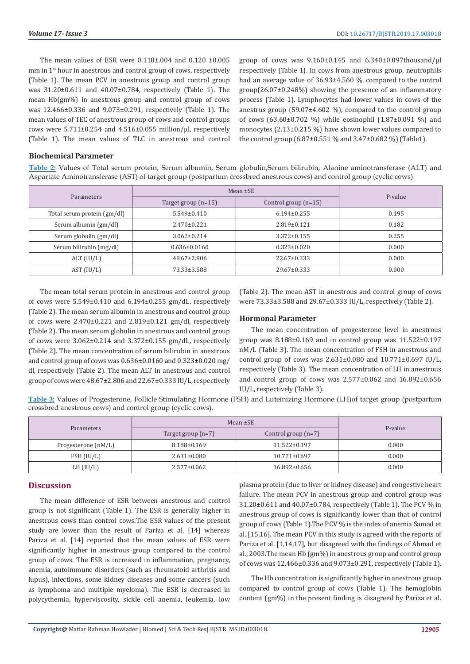The mean values of ESR were  $0.118\pm0.04$  and  $0.120\pm0.005$  $mm$  in  $1<sup>st</sup>$  hour in anestrous and control group of cows, respectively (Table 1). The mean PCV in anestrous group and control group was 31.20±0.611 and 40.07±0.784, respectively (Table 1). The mean Hb(gm%) in anestrous group and control group of cows was 12.466±0.336 and 9.073±0.291, respectively (Table 1). The mean values of TEC of anestrous group of cows and control groups cows were 5.711±0.254 and 4.516±0.055 million/μl, respectively (Table 1). The mean values of TLC in anestrous and control

group of cows was 9.160±0.145 and 6.340±0.097thousand/μl respectively (Table 1). In cows from anestrous group, neutrophils had an average value of 36.93±4.560 %, compared to the control group(26.07±0.248%) showing the presence of an inflammatory process (Table 1). Lymphocytes had lower values in cows of the anestrus group (59.07±4.602 %), compared to the control group of cows (63.60±0.702 %) while eosinophil (1.87±0.091 %) and monocytes (2.13±0.215 %) have shown lower values compared to the control group  $(6.87 \pm 0.551 \%)$  and  $3.47 \pm 0.682 \%$  (Table1).

# **Biochemical Parameter**

**Table 2:** Values of Total serum protein, Serum albumin, Serum globulin,Serum bilirubin, Alanine aminotransferase (ALT) and Aspartate Aminotransferase (AST) of target group (postpartum crossbred anestrous cows) and control group (cyclic cows)

| Parameters                  | Mean $\pm$ SE         | P-value                |       |  |
|-----------------------------|-----------------------|------------------------|-------|--|
|                             | Target group $(n=15)$ | Control group $(n=15)$ |       |  |
| Total serum protein (gm/dl) | $5.549 \pm 0.410$     | $6.194\pm0.255$        | 0.195 |  |
| Serum albumin (gm/dl)       | $2.470 \pm 0.221$     | $2.819 \pm 0.121$      | 0.182 |  |
| Serum globulin (gm/dl)      | $3.062 \pm 0.214$     | $3.372 \pm 0.155$      | 0.255 |  |
| Serum bilirubin (mg/dl)     | $0.636 \pm 0.0160$    | $0.323 \pm 0.020$      | 0.000 |  |
| ALT (IU/L)                  | $48.67 \pm 2.806$     | $22.67 \pm 0.333$      | 0.000 |  |
| AST (IU/L)                  | 73.33±3.588           | $29.67 \pm 0.333$      | 0.000 |  |

The mean total serum protein in anestrous and control group of cows were 5.549±0.410 and 6.194±0.255 gm/dL, respectively (Table 2). The mean serum albumin in anestrous and control group of cows were 2.470±0.221 and 2.819±0.121 gm/dl, respectively (Table 2). The mean serum globulin in anestrous and control group of cows were 3.062±0.214 and 3.372±0.155 gm/dL, respectively (Table 2). The mean concentration of serum bilirubin in anestrous and control group of cows was  $0.636\pm0.0160$  and  $0.323\pm0.020$  mg/ dl, respectively (Table 2). The mean ALT in anestrous and control group of cows were 48.67±2.806 and 22.67±0.333 IU/L, respectively

(Table 2). The mean AST in anestrous and control group of cows were 73.33±3.588 and 29.67±0.333 IU/L, respectively (Table 2).

#### **Hormonal Parameter**

The mean concentration of progesterone level in anestrous group was  $8.188\pm0.169$  and in control group was  $11.522\pm0.197$ nM/L (Table 3). The mean concentration of FSH in anestrous and control group of cows was  $2.631 \pm 0.080$  and  $10.771 \pm 0.697$  IU/L, respectively (Table 3). The mean concentration of LH in anestrous and control group of cows was 2.577±0.062 and 16.892±0.656 IU/L, respectively (Table 3).

**Table 3:** Values of Progesterone, Follicle Stimulating Hormone (FSH) and Luteinizing Hormone (LH)of target group (postpartum crossbred anestrous cows) and control group (cyclic cows).

|                     | Mean $\pm$ SE        |                       |         |  |
|---------------------|----------------------|-----------------------|---------|--|
| <b>Parameters</b>   | Target group $(n=7)$ | Control group $(n=7)$ | P-value |  |
| Progesterone (nM/L) | $8.188 \pm 0.169$    | $11.522 \pm 0.197$    | 0.000   |  |
| FSH (IU/L)          | $2.631 \pm 0.080$    | $10.771 \pm 0.697$    | 0.000   |  |
| LH (IU/L)           | $2.577 \pm 0.062$    | 16.892±0.656          | 0.000   |  |

# **Discussion**

The mean difference of ESR between anestrous and control group is not significant (Table 1). The ESR is generally higher in anestrous cows than control cows.The ESR values of the present study are lower than the result of Pariza et al. [14] whereas Pariza et al*.* [14] reported that the mean values of ESR were significantly higher in anestrous group compared to the control group of cows. The ESR is increased in inflammation, pregnancy, anemia, autoimmune disorders (such as rheumatoid arthritis and lupus), infections, some kidney diseases and some cancers (such as lymphoma and multiple myeloma). The ESR is decreased in polycythemia, hyperviscosity, sickle cell anemia, leukemia, low

plasma protein (due to liver or kidney disease) and congestive heart failure. The mean PCV in anestrous group and control group was 31.20±0.611 and 40.07±0.784, respectively (Table 1). The PCV % in anestrous group of cows is significantly lower than that of control group of cows (Table 1).The PCV % is the index of anemia Samad et al. [15,16]. The mean PCV in this study is agreed with the reports of Pariza et al. [1,14,17], but disagreed with the findings of Ahmad et al., 2003.The mean Hb (gm%) in anestrous group and control group of cows was 12.466±0.336 and 9.073±0.291, respectively (Table 1).

The Hb concentration is significantly higher in anestrous group compared to control group of cows (Table 1). The hemoglobin content (gm%) in the present finding is disagreed by Pariza et al.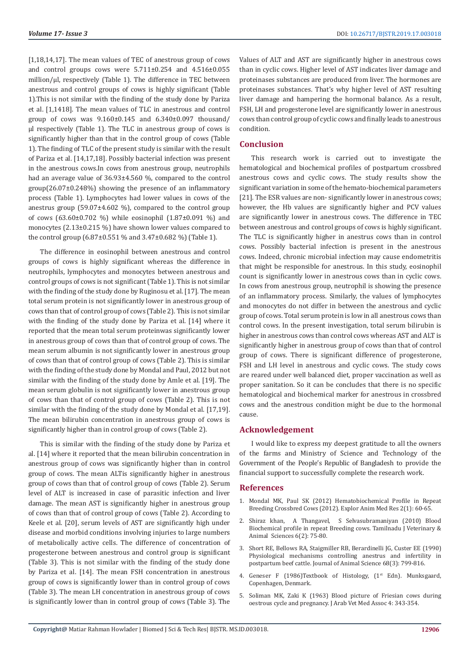[1,18,14,17]. The mean values of TEC of anestrous group of cows and control groups cows were 5.711±0.254 and 4.516±0.055 million/μl, respectively (Table 1). The difference in TEC between anestrous and control groups of cows is highly significant (Table 1).This is not similar with the finding of the study done by Pariza et al. [1,1418]. The mean values of TLC in anestrous and control group of cows was  $9.160\pm0.145$  and  $6.340\pm0.097$  thousand/ μl respectively (Table 1). The TLC in anestrous group of cows is significantly higher than that in the control group of cows (Table 1). The finding of TLC of the present study is similar with the result of Pariza et al. [14,17,18]. Possibly bacterial infection was present in the anestrous cows.In cows from anestrous group, neutrophils had an average value of 36.93±4.560 %, compared to the control group(26.07±0.248%) showing the presence of an inflammatory process (Table 1). Lymphocytes had lower values in cows of the anestrus group (59.07±4.602 %), compared to the control group of cows (63.60±0.702 %) while eosinophil (1.87±0.091 %) and monocytes (2.13±0.215 %) have shown lower values compared to the control group (6.87±0.551 % and 3.47±0.682 %) (Table 1).

The difference in eosinophil between anestrous and control groups of cows is highly significant whereas the difference in neutrophils, lymphocytes and monocytes between anestrous and control groups of cows is not significant (Table 1). This is not similar with the finding of the study done by Ruginosu et al. [17]. The mean total serum protein is not significantly lower in anestrous group of cows than that of control group of cows (Table 2). This is not similar with the finding of the study done by Pariza et al. [14] where it reported that the mean total serum proteinwas significantly lower in anestrous group of cows than that of control group of cows. The mean serum albumin is not significantly lower in anestrous group of cows than that of control group of cows (Table 2). This is similar with the finding of the study done by Mondal and Paul, 2012 but not similar with the finding of the study done by Amle et al. [19]. The mean serum globulin is not significantly lower in anestrous group of cows than that of control group of cows (Table 2). This is not similar with the finding of the study done by Mondal et al. [17,19]. The mean bilirubin concentration in anestrous group of cows is significantly higher than in control group of cows (Table 2).

This is similar with the finding of the study done by Pariza et al. [14] where it reported that the mean bilirubin concentration in anestrous group of cows was significantly higher than in control group of cows. The mean ALTis significantly higher in anestrous group of cows than that of control group of cows (Table 2). Serum level of ALT is increased in case of parasitic infection and liver damage. The mean AST is significantly higher in anestrous group of cows than that of control group of cows (Table 2). According to Keele et al. [20], serum levels of AST are significantly high under disease and morbid conditions involving injuries to large numbers of metabolically active cells. The difference of concentration of progesterone between anestrous and control group is significant (Table 3). This is not similar with the finding of the study done by Pariza et al. [14]. The mean FSH concentration in anestrous group of cows is significantly lower than in control group of cows (Table 3). The mean LH concentration in anestrous group of cows is significantly lower than in control group of cows (Table 3). The

Values of ALT and AST are significantly higher in anestrous cows than in cyclic cows. Higher level of AST indicates liver damage and proteinases substances are produced from liver. The hormones are proteinases substances. That's why higher level of AST resulting liver damage and hampering the hormonal balance. As a result, FSH, LH and progesterone level are significantly lower in anestrous cows than control group of cyclic cows and finally leads to anestrous condition.

# **Conclusion**

This research work is carried out to investigate the hematological and biochemical profiles of postpartum crossbred anestrous cows and cyclic cows. The study results show the significant variation in some of the hemato-biochemical parameters [21]. The ESR values are non- significantly lower in anestrous cows; however, the Hb values are significantly higher and PCV values are significantly lower in anestrous cows. The difference in TEC between anestrous and control groups of cows is highly significant. The TLC is significantly higher in anestrus cows than in control cows. Possibly bacterial infection is present in the anestrous cows. Indeed, chronic microbial infection may cause endometritis that might be responsible for anestrous. In this study, eosinophil count is significantly lower in anestrous cows than in cyclic cows. In cows from anestrous group, neutrophil is showing the presence of an inflammatory process. Similarly, the values of lymphocytes and monocytes do not differ in between the anestrous and cyclic group of cows. Total serum protein is low in all anestrous cows than control cows. In the present investigation, total serum bilirubin is higher in anestrous cows than control cows whereas AST and ALT is significantly higher in anestrous group of cows than that of control group of cows. There is significant difference of progesterone, FSH and LH level in anestrous and cyclic cows. The study cows are reared under well balanced diet, proper vaccination as well as proper sanitation. So it can be concludes that there is no specific hematological and biochemical marker for anestrous in crossbred cows and the anestrous condition might be due to the hormonal cause.

### **Acknowledgement**

I would like to express my deepest gratitude to all the owners of the farms and Ministry of Science and Technology of the Government of the People's Republic of Bangladesh to provide the financial support to successfully complete the research work.

#### **References**

- 1. [Mondal MK, Paul SK \(2012\) Hematobiochemical Profile in Repeat](https://www.cabdirect.org/cabdirect/abstract/20133007370) [Breeding Crossbred Cows \(2012\). Explor Anim Med Res 2\(1\): 60-65.](https://www.cabdirect.org/cabdirect/abstract/20133007370)
- 2. [Shiraz khan, A Thangavel, S Selvasubramaniyan \(2010\) Blood](https://www.cabdirect.org/cabdirect/abstract/20103202260) [Biochemical profile in repeat Breeding cows. Tamilnadu J Veterinary &](https://www.cabdirect.org/cabdirect/abstract/20103202260) [Animal Sciences 6\(2\): 75-80.](https://www.cabdirect.org/cabdirect/abstract/20103202260)
- 3. [Short RE, Bellows RA, Staigmiller RB, Berardinelli JG, Custer EE \(1990\)](https://www.ncbi.nlm.nih.gov/pubmed/2180877) [Physiological mechanisms controlling anestrus and infertility in](https://www.ncbi.nlm.nih.gov/pubmed/2180877) [postpartum beef cattle. Journal of Animal Science 68\(3\): 799-816.](https://www.ncbi.nlm.nih.gov/pubmed/2180877)
- 4. Geneser F (1986)Textbook of Histology, (1<sup>st</sup> Edn). Munksgaard, Copenhagen, Denmark.
- 5. Soliman MK, Zaki K (1963) Blood picture of Friesian cows during oestrous cycle and pregnancy. J Arab Vet Med Assoc 4: 343-354.